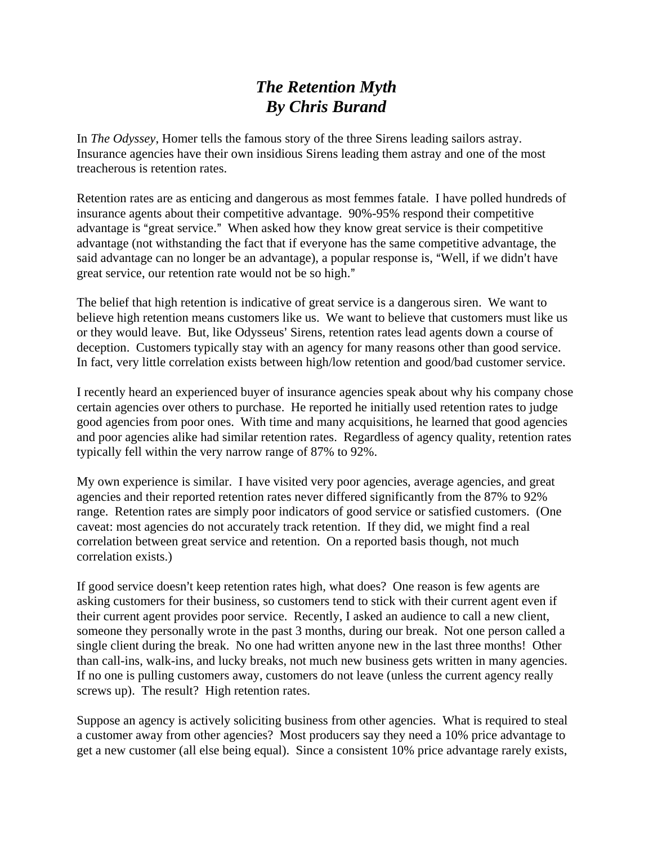## *The Retention Myth By Chris Burand*

In *The Odyssey*, Homer tells the famous story of the three Sirens leading sailors astray. Insurance agencies have their own insidious Sirens leading them astray and one of the most treacherous is retention rates.

Retention rates are as enticing and dangerous as most femmes fatale. I have polled hundreds of insurance agents about their competitive advantage. 90%-95% respond their competitive advantage is "great service." When asked how they know great service is their competitive advantage (not withstanding the fact that if everyone has the same competitive advantage, the said advantage can no longer be an advantage), a popular response is, "Well, if we didn't have great service, our retention rate would not be so high."

The belief that high retention is indicative of great service is a dangerous siren. We want to believe high retention means customers like us. We want to believe that customers must like us or they would leave. But, like Odysseus' Sirens, retention rates lead agents down a course of deception. Customers typically stay with an agency for many reasons other than good service. In fact, very little correlation exists between high/low retention and good/bad customer service.

I recently heard an experienced buyer of insurance agencies speak about why his company chose certain agencies over others to purchase. He reported he initially used retention rates to judge good agencies from poor ones. With time and many acquisitions, he learned that good agencies and poor agencies alike had similar retention rates. Regardless of agency quality, retention rates typically fell within the very narrow range of 87% to 92%.

My own experience is similar. I have visited very poor agencies, average agencies, and great agencies and their reported retention rates never differed significantly from the 87% to 92% range. Retention rates are simply poor indicators of good service or satisfied customers. (One caveat: most agencies do not accurately track retention. If they did, we might find a real correlation between great service and retention. On a reported basis though, not much correlation exists.)

If good service doesn't keep retention rates high, what does? One reason is few agents are asking customers for their business, so customers tend to stick with their current agent even if their current agent provides poor service. Recently, I asked an audience to call a new client, someone they personally wrote in the past 3 months, during our break. Not one person called a single client during the break. No one had written anyone new in the last three months! Other than call-ins, walk-ins, and lucky breaks, not much new business gets written in many agencies. If no one is pulling customers away, customers do not leave (unless the current agency really screws up). The result? High retention rates.

Suppose an agency is actively soliciting business from other agencies. What is required to steal a customer away from other agencies? Most producers say they need a 10% price advantage to get a new customer (all else being equal). Since a consistent 10% price advantage rarely exists,